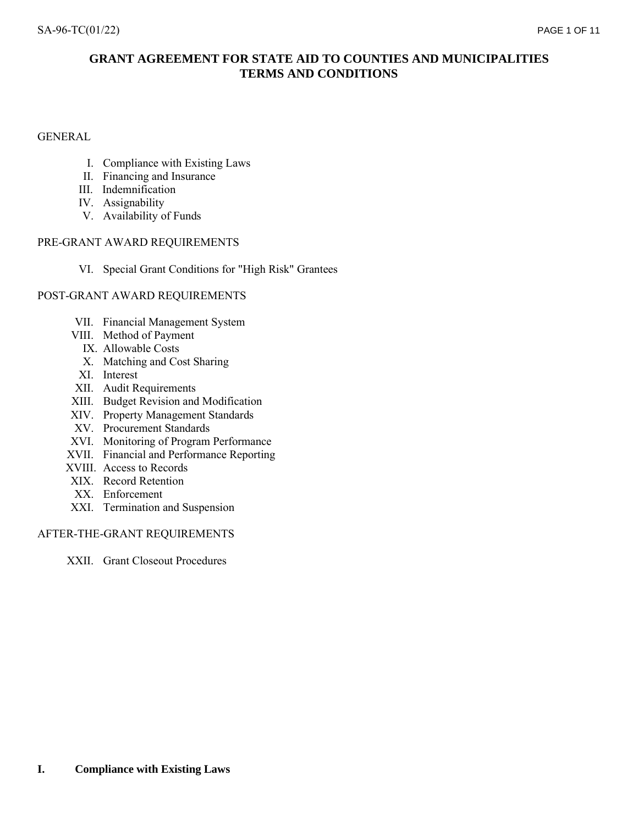# GENERAL

- I. Compliance with Existing Laws
- II. Financing and Insurance
- III. Indemnification
- IV. Assignability
- V. Availability of Funds

## PRE-GRANT AWARD REQUIREMENTS

VI. Special Grant Conditions for "High Risk" Grantees

## POST-GRANT AWARD REQUIREMENTS

- VII. Financial Management System
- VIII. Method of Payment
	- IX. Allowable Costs
	- X. Matching and Cost Sharing
- XI. Interest
- XII. Audit Requirements
- XIII. Budget Revision and Modification
- XIV. Property Management Standards
- XV. Procurement Standards
- XVI. Monitoring of Program Performance
- XVII. Financial and Performance Reporting
- XVIII. Access to Records
- XIX. Record Retention
- XX. Enforcement
- XXI. Termination and Suspension

## AFTER-THE-GRANT REQUIREMENTS

XXII. Grant Closeout Procedures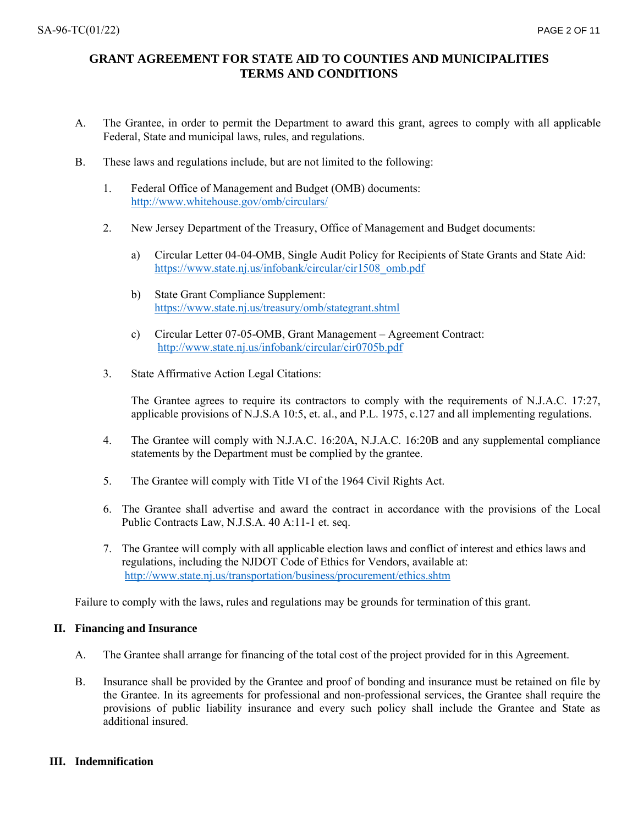- A. The Grantee, in order to permit the Department to award this grant, agrees to comply with all applicable Federal, State and municipal laws, rules, and regulations.
- B. These laws and regulations include, but are not limited to the following:
	- 1. Federal Office of Management and Budget (OMB) documents: <http://www.whitehouse.gov/omb/circulars/>
	- 2. New Jersey Department of the Treasury, Office of Management and Budget documents:
		- a) Circular Letter 04-04-OMB, Single Audit Policy for Recipients of State Grants and State Aid: [https://www.state.nj.us/infobank/circular/cir1508\\_omb.pdf](https://www.state.nj.us/infobank/circular/cir1508_omb.pdf)
		- b) State Grant Compliance Supplement: <https://www.state.nj.us/treasury/omb/stategrant.shtml>
		- c) Circular Letter 07-05-OMB, Grant Management Agreement Contract: <http://www.state.nj.us/infobank/circular/cir0705b.pdf>
	- 3. State Affirmative Action Legal Citations:

The Grantee agrees to require its contractors to comply with the requirements of N.J.A.C. 17:27, applicable provisions of N.J.S.A 10:5, et. al., and P.L. 1975, c.127 and all implementing regulations.

- 4. The Grantee will comply with N.J.A.C. 16:20A, N.J.A.C. 16:20B and any supplemental compliance statements by the Department must be complied by the grantee.
- 5. The Grantee will comply with Title VI of the 1964 Civil Rights Act.
- 6. The Grantee shall advertise and award the contract in accordance with the provisions of the Local Public Contracts Law, N.J.S.A. 40 A:11-1 et. seq.
- 7. The Grantee will comply with all applicable election laws and conflict of interest and ethics laws and regulations, including the NJDOT Code of Ethics for Vendors, available at: <http://www.state.nj.us/transportation/business/procurement/ethics.shtm>

Failure to comply with the laws, rules and regulations may be grounds for termination of this grant.

## **II. Financing and Insurance**

- A. The Grantee shall arrange for financing of the total cost of the project provided for in this Agreement.
- B. Insurance shall be provided by the Grantee and proof of bonding and insurance must be retained on file by the Grantee. In its agreements for professional and non-professional services, the Grantee shall require the provisions of public liability insurance and every such policy shall include the Grantee and State as additional insured.

## **III. Indemnification**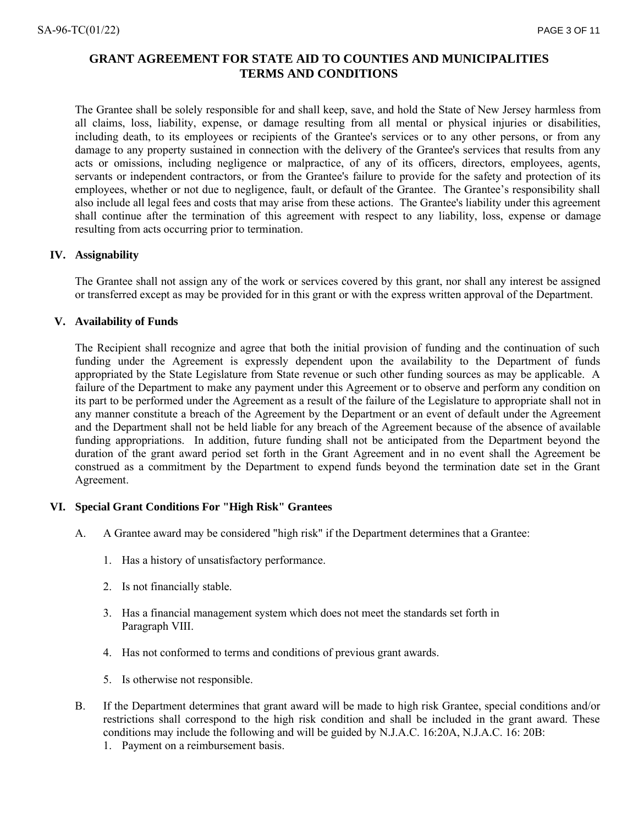The Grantee shall be solely responsible for and shall keep, save, and hold the State of New Jersey harmless from all claims, loss, liability, expense, or damage resulting from all mental or physical injuries or disabilities, including death, to its employees or recipients of the Grantee's services or to any other persons, or from any damage to any property sustained in connection with the delivery of the Grantee's services that results from any acts or omissions, including negligence or malpractice, of any of its officers, directors, employees, agents, servants or independent contractors, or from the Grantee's failure to provide for the safety and protection of its employees, whether or not due to negligence, fault, or default of the Grantee. The Grantee's responsibility shall also include all legal fees and costs that may arise from these actions. The Grantee's liability under this agreement shall continue after the termination of this agreement with respect to any liability, loss, expense or damage resulting from acts occurring prior to termination.

## **IV. Assignability**

The Grantee shall not assign any of the work or services covered by this grant, nor shall any interest be assigned or transferred except as may be provided for in this grant or with the express written approval of the Department.

## **V. Availability of Funds**

The Recipient shall recognize and agree that both the initial provision of funding and the continuation of such funding under the Agreement is expressly dependent upon the availability to the Department of funds appropriated by the State Legislature from State revenue or such other funding sources as may be applicable. A failure of the Department to make any payment under this Agreement or to observe and perform any condition on its part to be performed under the Agreement as a result of the failure of the Legislature to appropriate shall not in any manner constitute a breach of the Agreement by the Department or an event of default under the Agreement and the Department shall not be held liable for any breach of the Agreement because of the absence of available funding appropriations. In addition, future funding shall not be anticipated from the Department beyond the duration of the grant award period set forth in the Grant Agreement and in no event shall the Agreement be construed as a commitment by the Department to expend funds beyond the termination date set in the Grant Agreement.

## **VI. Special Grant Conditions For "High Risk" Grantees**

- A. A Grantee award may be considered "high risk" if the Department determines that a Grantee:
	- 1. Has a history of unsatisfactory performance.
	- 2. Is not financially stable.
	- 3. Has a financial management system which does not meet the standards set forth in Paragraph VIII.
	- 4. Has not conformed to terms and conditions of previous grant awards.
	- 5. Is otherwise not responsible.
- B. If the Department determines that grant award will be made to high risk Grantee, special conditions and/or restrictions shall correspond to the high risk condition and shall be included in the grant award. These conditions may include the following and will be guided by N.J.A.C. 16:20A, N.J.A.C. 16: 20B:
	- 1. Payment on a reimbursement basis.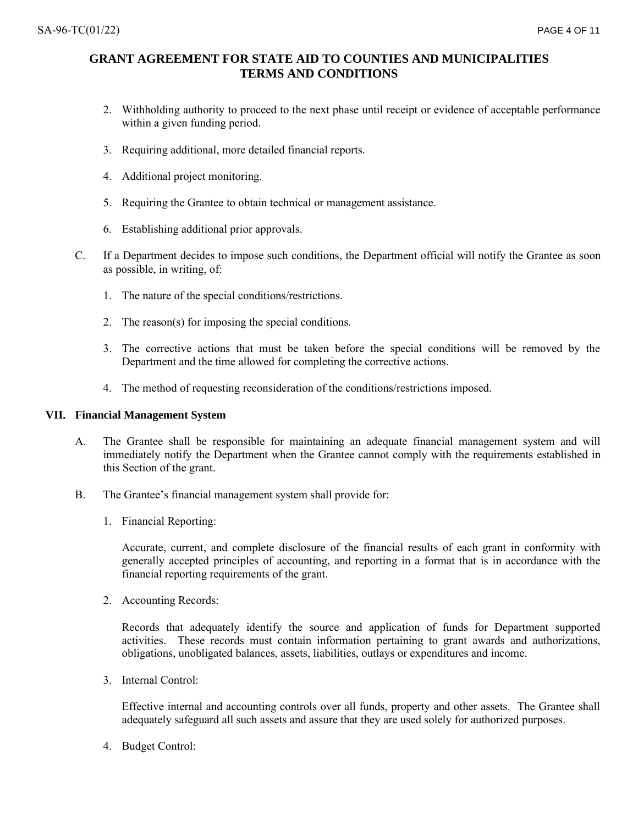- 2. Withholding authority to proceed to the next phase until receipt or evidence of acceptable performance within a given funding period.
- 3. Requiring additional, more detailed financial reports.
- 4. Additional project monitoring.
- 5. Requiring the Grantee to obtain technical or management assistance.
- 6. Establishing additional prior approvals.
- C. If a Department decides to impose such conditions, the Department official will notify the Grantee as soon as possible, in writing, of:
	- 1. The nature of the special conditions/restrictions.
	- 2. The reason(s) for imposing the special conditions.
	- 3. The corrective actions that must be taken before the special conditions will be removed by the Department and the time allowed for completing the corrective actions.
	- 4. The method of requesting reconsideration of the conditions/restrictions imposed.

## **VII. Financial Management System**

- A. The Grantee shall be responsible for maintaining an adequate financial management system and will immediately notify the Department when the Grantee cannot comply with the requirements established in this Section of the grant.
- B. The Grantee's financial management system shall provide for:
	- 1. Financial Reporting:

Accurate, current, and complete disclosure of the financial results of each grant in conformity with generally accepted principles of accounting, and reporting in a format that is in accordance with the financial reporting requirements of the grant.

2. Accounting Records:

Records that adequately identify the source and application of funds for Department supported activities. These records must contain information pertaining to grant awards and authorizations, obligations, unobligated balances, assets, liabilities, outlays or expenditures and income.

3. Internal Control:

Effective internal and accounting controls over all funds, property and other assets. The Grantee shall adequately safeguard all such assets and assure that they are used solely for authorized purposes.

4. Budget Control: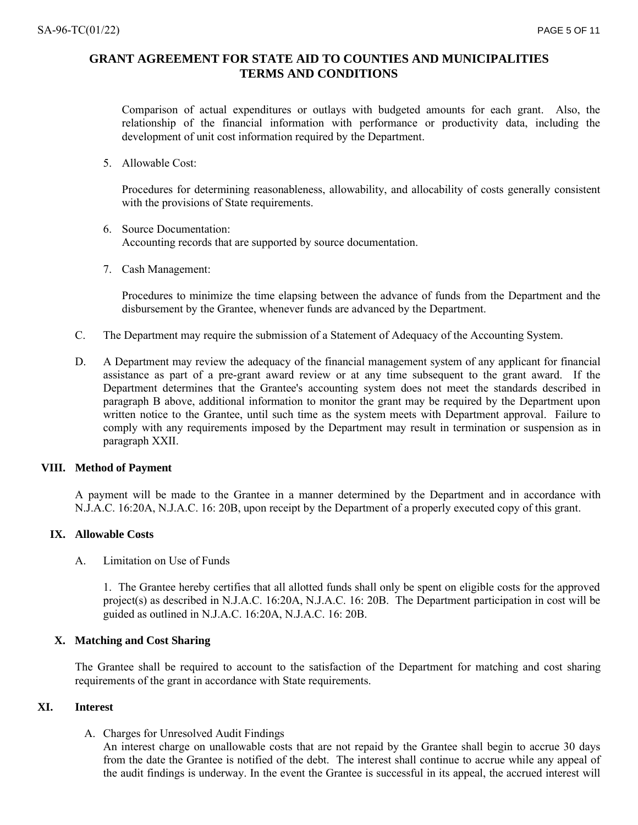Comparison of actual expenditures or outlays with budgeted amounts for each grant. Also, the relationship of the financial information with performance or productivity data, including the development of unit cost information required by the Department.

5. Allowable Cost:

Procedures for determining reasonableness, allowability, and allocability of costs generally consistent with the provisions of State requirements.

- 6. Source Documentation: Accounting records that are supported by source documentation.
- 7. Cash Management:

Procedures to minimize the time elapsing between the advance of funds from the Department and the disbursement by the Grantee, whenever funds are advanced by the Department.

- C. The Department may require the submission of a Statement of Adequacy of the Accounting System.
- D. A Department may review the adequacy of the financial management system of any applicant for financial assistance as part of a pre-grant award review or at any time subsequent to the grant award. If the Department determines that the Grantee's accounting system does not meet the standards described in paragraph B above, additional information to monitor the grant may be required by the Department upon written notice to the Grantee, until such time as the system meets with Department approval. Failure to comply with any requirements imposed by the Department may result in termination or suspension as in paragraph XXII.

#### **VIII. Method of Payment**

A payment will be made to the Grantee in a manner determined by the Department and in accordance with N.J.A.C. 16:20A, N.J.A.C. 16: 20B, upon receipt by the Department of a properly executed copy of this grant.

### **IX. Allowable Costs**

A. Limitation on Use of Funds

1. The Grantee hereby certifies that all allotted funds shall only be spent on eligible costs for the approved project(s) as described in N.J.A.C. 16:20A, N.J.A.C. 16: 20B. The Department participation in cost will be guided as outlined in N.J.A.C. 16:20A, N.J.A.C. 16: 20B.

## **X. Matching and Cost Sharing**

The Grantee shall be required to account to the satisfaction of the Department for matching and cost sharing requirements of the grant in accordance with State requirements.

#### **XI. Interest**

A. Charges for Unresolved Audit Findings

An interest charge on unallowable costs that are not repaid by the Grantee shall begin to accrue 30 days from the date the Grantee is notified of the debt. The interest shall continue to accrue while any appeal of the audit findings is underway. In the event the Grantee is successful in its appeal, the accrued interest will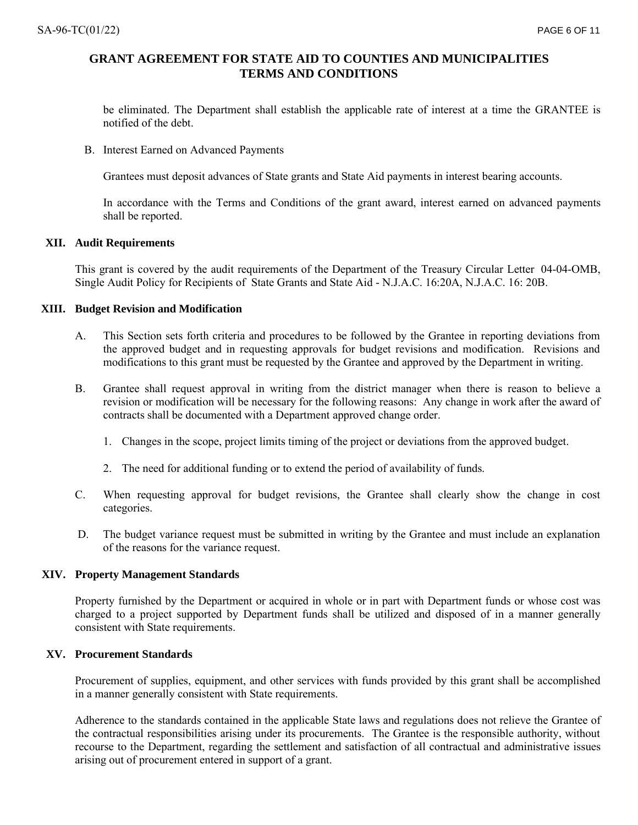be eliminated. The Department shall establish the applicable rate of interest at a time the GRANTEE is notified of the debt.

B. Interest Earned on Advanced Payments

Grantees must deposit advances of State grants and State Aid payments in interest bearing accounts.

In accordance with the Terms and Conditions of the grant award, interest earned on advanced payments shall be reported.

### **XII. Audit Requirements**

This grant is covered by the audit requirements of the Department of the Treasury Circular Letter 04-04-OMB, Single Audit Policy for Recipients of State Grants and State Aid - N.J.A.C. 16:20A, N.J.A.C. 16: 20B.

### **XIII. Budget Revision and Modification**

- A. This Section sets forth criteria and procedures to be followed by the Grantee in reporting deviations from the approved budget and in requesting approvals for budget revisions and modification. Revisions and modifications to this grant must be requested by the Grantee and approved by the Department in writing.
- B. Grantee shall request approval in writing from the district manager when there is reason to believe a revision or modification will be necessary for the following reasons: Any change in work after the award of contracts shall be documented with a Department approved change order.
	- 1. Changes in the scope, project limits timing of the project or deviations from the approved budget.
	- 2. The need for additional funding or to extend the period of availability of funds.
- C. When requesting approval for budget revisions, the Grantee shall clearly show the change in cost categories.
- D. The budget variance request must be submitted in writing by the Grantee and must include an explanation of the reasons for the variance request.

#### **XIV. Property Management Standards**

Property furnished by the Department or acquired in whole or in part with Department funds or whose cost was charged to a project supported by Department funds shall be utilized and disposed of in a manner generally consistent with State requirements.

## **XV. Procurement Standards**

Procurement of supplies, equipment, and other services with funds provided by this grant shall be accomplished in a manner generally consistent with State requirements.

Adherence to the standards contained in the applicable State laws and regulations does not relieve the Grantee of the contractual responsibilities arising under its procurements. The Grantee is the responsible authority, without recourse to the Department, regarding the settlement and satisfaction of all contractual and administrative issues arising out of procurement entered in support of a grant.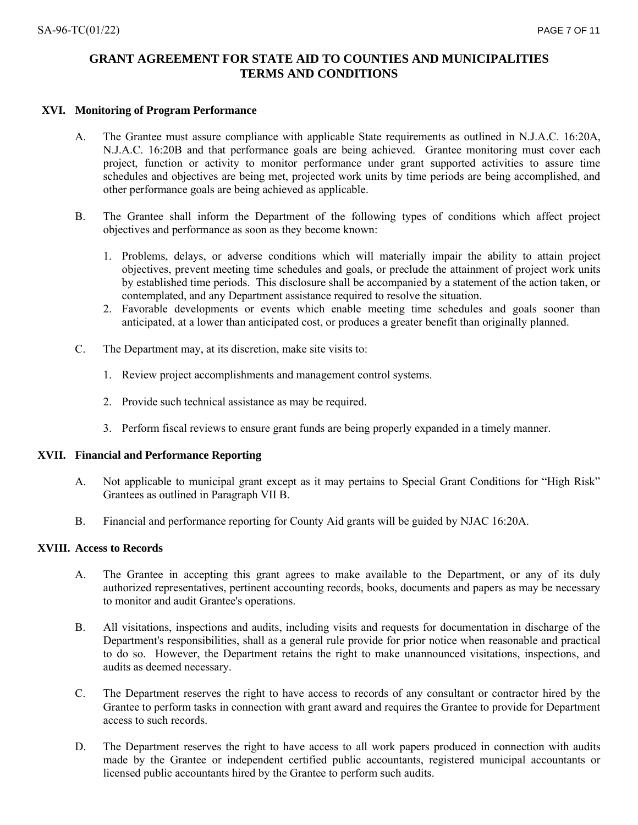### **XVI. Monitoring of Program Performance**

- A. The Grantee must assure compliance with applicable State requirements as outlined in N.J.A.C. 16:20A, N.J.A.C. 16:20B and that performance goals are being achieved. Grantee monitoring must cover each project, function or activity to monitor performance under grant supported activities to assure time schedules and objectives are being met, projected work units by time periods are being accomplished, and other performance goals are being achieved as applicable.
- B. The Grantee shall inform the Department of the following types of conditions which affect project objectives and performance as soon as they become known:
	- 1. Problems, delays, or adverse conditions which will materially impair the ability to attain project objectives, prevent meeting time schedules and goals, or preclude the attainment of project work units by established time periods. This disclosure shall be accompanied by a statement of the action taken, or contemplated, and any Department assistance required to resolve the situation.
	- 2. Favorable developments or events which enable meeting time schedules and goals sooner than anticipated, at a lower than anticipated cost, or produces a greater benefit than originally planned.
- C. The Department may, at its discretion, make site visits to:
	- 1. Review project accomplishments and management control systems.
	- 2. Provide such technical assistance as may be required.
	- 3. Perform fiscal reviews to ensure grant funds are being properly expanded in a timely manner.

### **XVII. Financial and Performance Reporting**

- A. Not applicable to municipal grant except as it may pertains to Special Grant Conditions for "High Risk" Grantees as outlined in Paragraph VII B.
- B. Financial and performance reporting for County Aid grants will be guided by NJAC 16:20A.

## **XVIII. Access to Records**

- A. The Grantee in accepting this grant agrees to make available to the Department, or any of its duly authorized representatives, pertinent accounting records, books, documents and papers as may be necessary to monitor and audit Grantee's operations.
- B. All visitations, inspections and audits, including visits and requests for documentation in discharge of the Department's responsibilities, shall as a general rule provide for prior notice when reasonable and practical to do so. However, the Department retains the right to make unannounced visitations, inspections, and audits as deemed necessary.
- C. The Department reserves the right to have access to records of any consultant or contractor hired by the Grantee to perform tasks in connection with grant award and requires the Grantee to provide for Department access to such records.
- D. The Department reserves the right to have access to all work papers produced in connection with audits made by the Grantee or independent certified public accountants, registered municipal accountants or licensed public accountants hired by the Grantee to perform such audits.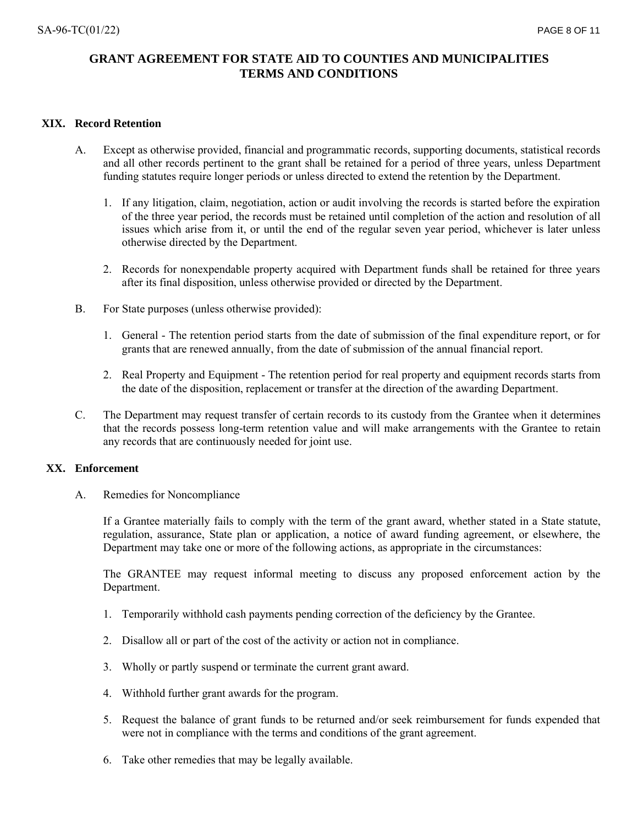## **XIX. Record Retention**

- A. Except as otherwise provided, financial and programmatic records, supporting documents, statistical records and all other records pertinent to the grant shall be retained for a period of three years, unless Department funding statutes require longer periods or unless directed to extend the retention by the Department.
	- 1. If any litigation, claim, negotiation, action or audit involving the records is started before the expiration of the three year period, the records must be retained until completion of the action and resolution of all issues which arise from it, or until the end of the regular seven year period, whichever is later unless otherwise directed by the Department.
	- 2. Records for nonexpendable property acquired with Department funds shall be retained for three years after its final disposition, unless otherwise provided or directed by the Department.
- B. For State purposes (unless otherwise provided):
	- 1. General The retention period starts from the date of submission of the final expenditure report, or for grants that are renewed annually, from the date of submission of the annual financial report.
	- 2. Real Property and Equipment The retention period for real property and equipment records starts from the date of the disposition, replacement or transfer at the direction of the awarding Department.
- C. The Department may request transfer of certain records to its custody from the Grantee when it determines that the records possess long-term retention value and will make arrangements with the Grantee to retain any records that are continuously needed for joint use.

## **XX. Enforcement**

A. Remedies for Noncompliance

If a Grantee materially fails to comply with the term of the grant award, whether stated in a State statute, regulation, assurance, State plan or application, a notice of award funding agreement, or elsewhere, the Department may take one or more of the following actions, as appropriate in the circumstances:

The GRANTEE may request informal meeting to discuss any proposed enforcement action by the Department.

- 1. Temporarily withhold cash payments pending correction of the deficiency by the Grantee.
- 2. Disallow all or part of the cost of the activity or action not in compliance.
- 3. Wholly or partly suspend or terminate the current grant award.
- 4. Withhold further grant awards for the program.
- 5. Request the balance of grant funds to be returned and/or seek reimbursement for funds expended that were not in compliance with the terms and conditions of the grant agreement.
- 6. Take other remedies that may be legally available.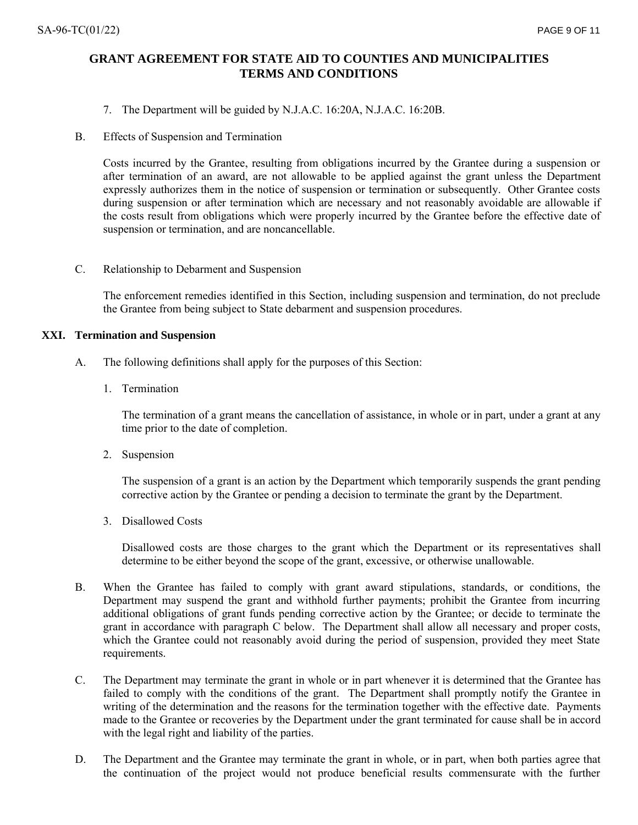- 7. The Department will be guided by N.J.A.C. 16:20A, N.J.A.C. 16:20B.
- B. Effects of Suspension and Termination

Costs incurred by the Grantee, resulting from obligations incurred by the Grantee during a suspension or after termination of an award, are not allowable to be applied against the grant unless the Department expressly authorizes them in the notice of suspension or termination or subsequently. Other Grantee costs during suspension or after termination which are necessary and not reasonably avoidable are allowable if the costs result from obligations which were properly incurred by the Grantee before the effective date of suspension or termination, and are noncancellable.

C. Relationship to Debarment and Suspension

The enforcement remedies identified in this Section, including suspension and termination, do not preclude the Grantee from being subject to State debarment and suspension procedures.

### **XXI. Termination and Suspension**

- A. The following definitions shall apply for the purposes of this Section:
	- 1. Termination

The termination of a grant means the cancellation of assistance, in whole or in part, under a grant at any time prior to the date of completion.

2. Suspension

The suspension of a grant is an action by the Department which temporarily suspends the grant pending corrective action by the Grantee or pending a decision to terminate the grant by the Department.

3. Disallowed Costs

Disallowed costs are those charges to the grant which the Department or its representatives shall determine to be either beyond the scope of the grant, excessive, or otherwise unallowable.

- B. When the Grantee has failed to comply with grant award stipulations, standards, or conditions, the Department may suspend the grant and withhold further payments; prohibit the Grantee from incurring additional obligations of grant funds pending corrective action by the Grantee; or decide to terminate the grant in accordance with paragraph C below. The Department shall allow all necessary and proper costs, which the Grantee could not reasonably avoid during the period of suspension, provided they meet State requirements.
- C. The Department may terminate the grant in whole or in part whenever it is determined that the Grantee has failed to comply with the conditions of the grant. The Department shall promptly notify the Grantee in writing of the determination and the reasons for the termination together with the effective date. Payments made to the Grantee or recoveries by the Department under the grant terminated for cause shall be in accord with the legal right and liability of the parties.
- D. The Department and the Grantee may terminate the grant in whole, or in part, when both parties agree that the continuation of the project would not produce beneficial results commensurate with the further